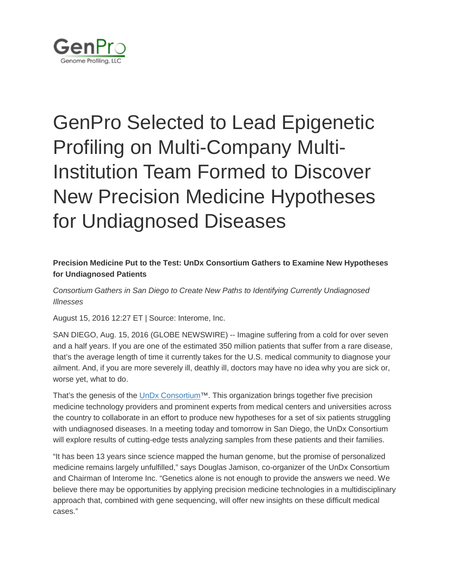

## GenPro Selected to Lead Epigenetic Profiling on Multi-Company Multi-Institution Team Formed to Discover New Precision Medicine Hypotheses for Undiagnosed Diseases

## **Precision Medicine Put to the Test: UnDx Consortium Gathers to Examine New Hypotheses for Undiagnosed Patients**

*Consortium Gathers in San Diego to Create New Paths to Identifying Currently Undiagnosed Illnesses*

August 15, 2016 12:27 ET | Source: Interome, Inc.

SAN DIEGO, Aug. 15, 2016 (GLOBE NEWSWIRE) -- Imagine suffering from a cold for over seven and a half years. If you are one of the estimated 350 million patients that suffer from a rare disease, that's the average length of time it currently takes for the U.S. medical community to diagnose your ailment. And, if you are more severely ill, deathly ill, doctors may have no idea why you are sick or, worse yet, what to do.

That's the genesis of the [UnDx Consortium™](http://www.undiagnosedfilm.com/undx-consortium/). This organization brings together five precision medicine technology providers and prominent experts from medical centers and universities across the country to collaborate in an effort to produce new hypotheses for a set of six patients struggling with undiagnosed diseases. In a meeting today and tomorrow in San Diego, the UnDx Consortium will explore results of cutting-edge tests analyzing samples from these patients and their families.

"It has been 13 years since science mapped the human genome, but the promise of personalized medicine remains largely unfulfilled," says Douglas Jamison, co-organizer of the UnDx Consortium and Chairman of Interome Inc. "Genetics alone is not enough to provide the answers we need. We believe there may be opportunities by applying precision medicine technologies in a multidisciplinary approach that, combined with gene sequencing, will offer new insights on these difficult medical cases."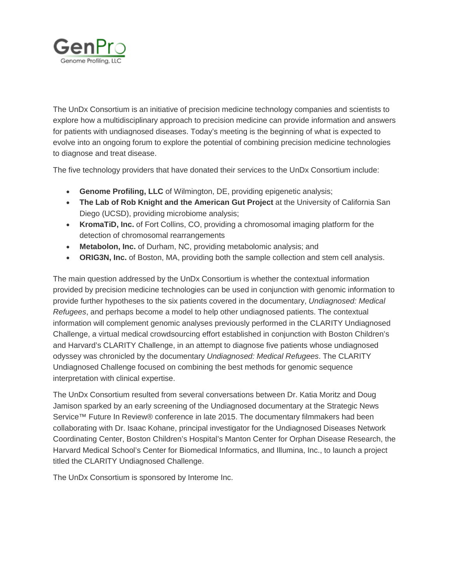

The UnDx Consortium is an initiative of precision medicine technology companies and scientists to explore how a multidisciplinary approach to precision medicine can provide information and answers for patients with undiagnosed diseases. Today's meeting is the beginning of what is expected to evolve into an ongoing forum to explore the potential of combining precision medicine technologies to diagnose and treat disease.

The five technology providers that have donated their services to the UnDx Consortium include:

- **Genome Profiling, LLC** of Wilmington, DE, providing epigenetic analysis;
- **The Lab of Rob Knight and the American Gut Project** at the University of California San Diego (UCSD), providing microbiome analysis;
- **KromaTiD, Inc.** of Fort Collins, CO, providing a chromosomal imaging platform for the detection of chromosomal rearrangements
- **Metabolon, Inc.** of Durham, NC, providing metabolomic analysis; and
- **ORIG3N, Inc.** of Boston, MA, providing both the sample collection and stem cell analysis.

The main question addressed by the UnDx Consortium is whether the contextual information provided by precision medicine technologies can be used in conjunction with genomic information to provide further hypotheses to the six patients covered in the documentary, *Undiagnosed: Medical Refugees*, and perhaps become a model to help other undiagnosed patients. The contextual information will complement genomic analyses previously performed in the CLARITY Undiagnosed Challenge, a virtual medical crowdsourcing effort established in conjunction with Boston Children's and Harvard's CLARITY Challenge, in an attempt to diagnose five patients whose undiagnosed odyssey was chronicled by the documentary *Undiagnosed: Medical Refugees*. The CLARITY Undiagnosed Challenge focused on combining the best methods for genomic sequence interpretation with clinical expertise.

The UnDx Consortium resulted from several conversations between Dr. Katia Moritz and Doug Jamison sparked by an early screening of the Undiagnosed documentary at the Strategic News Service™ Future In Review® conference in late 2015. The documentary filmmakers had been collaborating with Dr. Isaac Kohane, principal investigator for the Undiagnosed Diseases Network Coordinating Center, Boston Children's Hospital's Manton Center for Orphan Disease Research, the Harvard Medical School's Center for Biomedical Informatics, and Illumina, Inc., to launch a project titled the CLARITY Undiagnosed Challenge.

The UnDx Consortium is sponsored by Interome Inc.